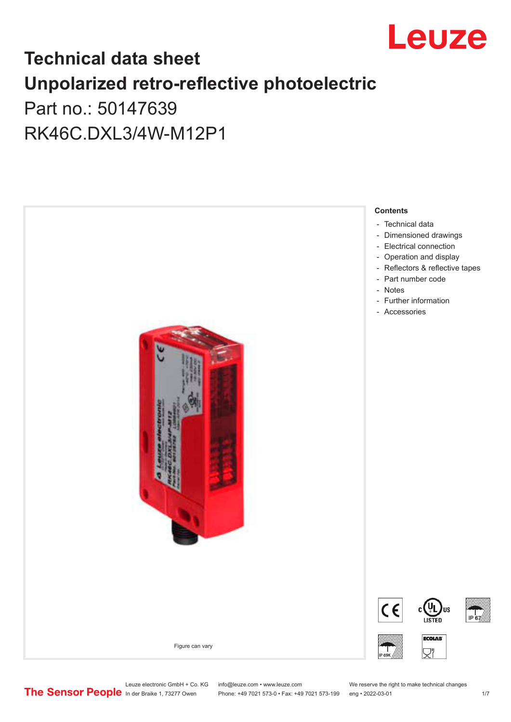

## **Technical data sheet Unpolarized retro-reflective photoelectric**  Part no.: 50147639

RK46C.DXL3/4W-M12P1



Leuze electronic GmbH + Co. KG info@leuze.com • www.leuze.com We reserve the right to make technical changes<br>
The Sensor People in der Braike 1, 73277 Owen Phone: +49 7021 573-0 • Fax: +49 7021 573-199 eng • 2022-03-01

Phone: +49 7021 573-0 • Fax: +49 7021 573-199 eng • 2022-03-01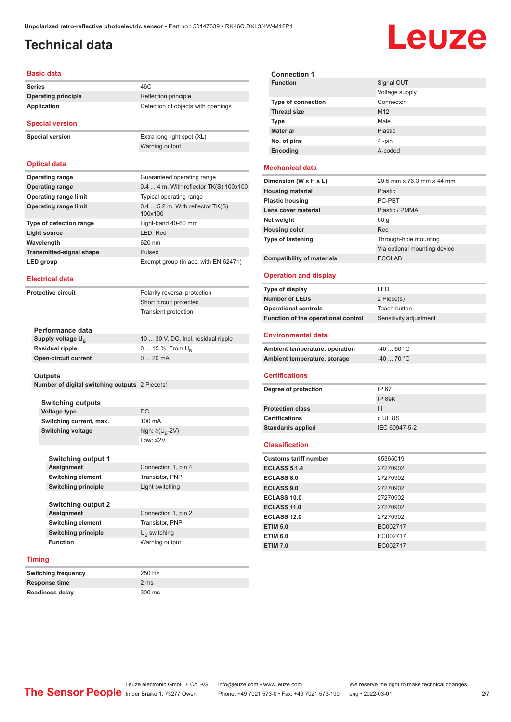### <span id="page-1-0"></span>**Technical data**

# Leuze

#### **Basic data**

**Series** 46C **Operating principle** Reflection principle **Application** Detection of objects with openings

#### **Special version**

**Special version** Extra long light spot (XL)

Warning output

#### **Optical data**

| <b>Operating range</b>          | Guaranteed operating range                  |
|---------------------------------|---------------------------------------------|
| <b>Operating range</b>          | $0.44$ m, With reflector TK(S) $100x100$    |
| <b>Operating range limit</b>    | Typical operating range                     |
| <b>Operating range limit</b>    | $0.45.2$ m, With reflector TK(S)<br>100x100 |
| Type of detection range         | Light-band 40-60 mm                         |
| Light source                    | LED, Red                                    |
| Wavelength                      | 620 nm                                      |
| <b>Transmitted-signal shape</b> | Pulsed                                      |
| LED group                       | Exempt group (in acc. with EN 62471)        |

#### **Electrical data**

**Protective circuit** Polarity reversal protection Short circuit protected Transient protection

| Performance data              |                                     |
|-------------------------------|-------------------------------------|
| Supply voltage Ս <sub>ո</sub> | 10  30 V, DC, Incl. residual ripple |
| Residual ripple               | $0$ 15 %, From $U_{p}$              |
| Open-circuit current          | $020$ mA                            |
|                               |                                     |

#### **Outputs**

**Number of digital switching outputs** 2 Piece(s)

**Switching output 1**

| <b>Switching outputs</b> |                                   |
|--------------------------|-----------------------------------|
| Voltage type             | DC.                               |
| Switching current, max.  | 100 mA                            |
| Switching voltage        | high: $\geq$ (U <sub>B</sub> -2V) |
|                          | Low: $\leq$ 2V                    |
|                          |                                   |

| <b>Assignment</b>          | Connection 1, pin 4   |  |
|----------------------------|-----------------------|--|
| <b>Switching element</b>   | Transistor, PNP       |  |
| <b>Switching principle</b> | Light switching       |  |
|                            |                       |  |
| <b>Switching output 2</b>  |                       |  |
| <b>Assignment</b>          | Connection 1, pin 2   |  |
| <b>Switching element</b>   | Transistor, PNP       |  |
| <b>Switching principle</b> | $U_{\rm p}$ switching |  |

#### **Timing**

| Switching frequency | 250 Hz |
|---------------------|--------|
| Response time       | 2 ms   |
| Readiness delay     | 300 ms |

| <b>Connection 1</b>       |                 |
|---------------------------|-----------------|
| <b>Function</b>           | Signal OUT      |
|                           | Voltage supply  |
| <b>Type of connection</b> | Connector       |
| <b>Thread size</b>        | M <sub>12</sub> |
| <b>Type</b>               | Male            |
| <b>Material</b>           | Plastic         |
| No. of pins               | 4-pin           |
| Encoding                  | A-coded         |

#### **Mechanical data**

| Dimension (W x H x L)             | 20.5 mm x 76.3 mm x 44 mm    |
|-----------------------------------|------------------------------|
| <b>Housing material</b>           | <b>Plastic</b>               |
| <b>Plastic housing</b>            | PC-PBT                       |
| Lens cover material               | Plastic / PMMA               |
| Net weight                        | 60 g                         |
| <b>Housing color</b>              | Red                          |
| <b>Type of fastening</b>          | Through-hole mounting        |
|                                   | Via optional mounting device |
| <b>Compatibility of materials</b> | <b>ECOLAB</b>                |

#### **Operation and display**

| Type of display                     | I FD                   |
|-------------------------------------|------------------------|
| <b>Number of LEDs</b>               | 2 Piece(s)             |
| <b>Operational controls</b>         | Teach button           |
| Function of the operational control | Sensitivity adjustment |
|                                     |                        |

#### **Environmental data**

| Ambient temperature, operation | -40  60 °C                       |
|--------------------------------|----------------------------------|
| Ambient temperature, storage   | $-40$ 70 $^{\circ}$ C $^{\circ}$ |

#### **Certifications**

| Degree of protection     | IP 67         |
|--------------------------|---------------|
|                          | IP 69K        |
| <b>Protection class</b>  | Ш             |
| <b>Certifications</b>    | c UL US       |
| <b>Standards applied</b> | IEC 60947-5-2 |
|                          |               |

#### **Classification**

| <b>Customs tariff number</b> | 85365019 |  |
|------------------------------|----------|--|
| <b>ECLASS 5.1.4</b>          | 27270902 |  |
| <b>ECLASS 8.0</b>            | 27270902 |  |
| <b>ECLASS 9.0</b>            | 27270902 |  |
| ECLASS 10.0                  | 27270902 |  |
| <b>ECLASS 11.0</b>           | 27270902 |  |
| ECLASS 12.0                  | 27270902 |  |
| <b>ETIM 5.0</b>              | EC002717 |  |
| <b>ETIM 6.0</b>              | EC002717 |  |
| <b>ETIM 7.0</b>              | EC002717 |  |

**Function** Warning output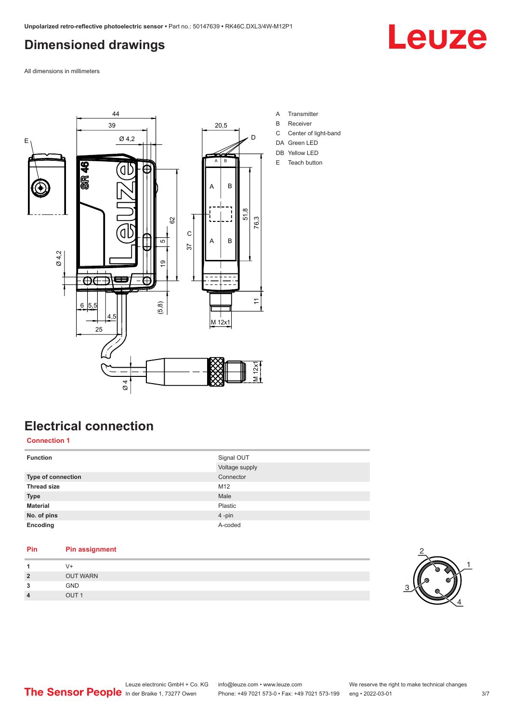### <span id="page-2-0"></span>**Dimensioned drawings**

Leuze

All dimensions in millimeters



### **Electrical connection**

#### **Connection 1**

| <b>Function</b>    | Signal OUT<br>Voltage supply |
|--------------------|------------------------------|
| Type of connection | Connector                    |
| <b>Thread size</b> | M12                          |
| <b>Type</b>        | Male                         |
| <b>Material</b>    | Plastic                      |
| No. of pins        | 4-pin                        |
| Encoding           | A-coded                      |

### **Pin Pin assignment 1** V+

| $\overline{2}$ | <b>OUT WARN</b> |  |
|----------------|-----------------|--|
| 3              | <b>GND</b>      |  |
| 4              | <b>OUT</b>      |  |
|                |                 |  |

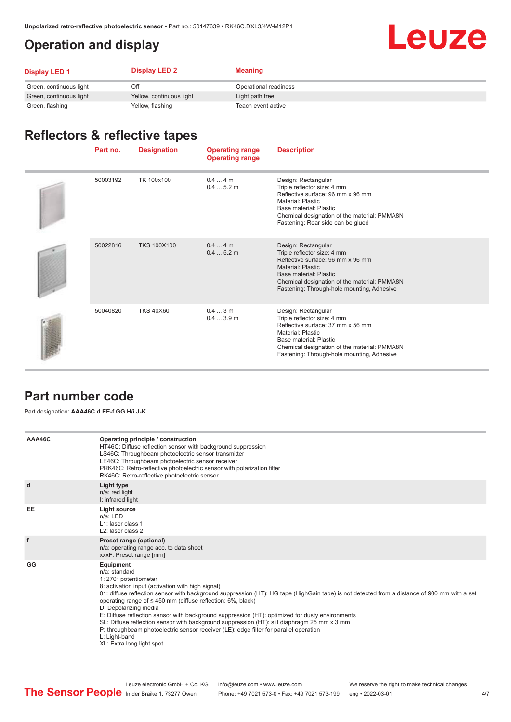### <span id="page-3-0"></span>**Operation and display**

## **Leuze**

| <b>Display LED 1</b>    | <b>Display LED 2</b>     | Meaning               |
|-------------------------|--------------------------|-----------------------|
| Green, continuous light | Off                      | Operational readiness |
| Green, continuous light | Yellow, continuous light | Light path free       |
| Green, flashing         | Yellow, flashing         | Teach event active    |

### **Reflectors & reflective tapes**

| Part no. | <b>Designation</b> | <b>Operating range</b><br><b>Operating range</b> | <b>Description</b>                                                                                                                                                                                                                          |
|----------|--------------------|--------------------------------------------------|---------------------------------------------------------------------------------------------------------------------------------------------------------------------------------------------------------------------------------------------|
| 50003192 | TK 100x100         | $0.44$ m<br>0.45.2m                              | Design: Rectangular<br>Triple reflector size: 4 mm<br>Reflective surface: 96 mm x 96 mm<br>Material: Plastic<br>Base material: Plastic<br>Chemical designation of the material: PMMA8N<br>Fastening: Rear side can be glued                 |
| 50022816 | <b>TKS 100X100</b> | $0.44$ m<br>0.45.2m                              | Design: Rectangular<br>Triple reflector size: 4 mm<br>Reflective surface: 96 mm x 96 mm<br><b>Material: Plastic</b><br>Base material: Plastic<br>Chemical designation of the material: PMMA8N<br>Fastening: Through-hole mounting, Adhesive |
| 50040820 | <b>TKS 40X60</b>   | 0.43m<br>0.43.9m                                 | Design: Rectangular<br>Triple reflector size: 4 mm<br>Reflective surface: 37 mm x 56 mm<br>Material: Plastic<br>Base material: Plastic<br>Chemical designation of the material: PMMA8N<br>Fastening: Through-hole mounting, Adhesive        |

#### **Part number code**

Part designation: **AAA46C d EE-f.GG H/i J-K**

| AAA46C | Operating principle / construction<br>HT46C: Diffuse reflection sensor with background suppression<br>LS46C: Throughbeam photoelectric sensor transmitter<br>LE46C: Throughbeam photoelectric sensor receiver<br>PRK46C: Retro-reflective photoelectric sensor with polarization filter                                                                                                                                                                                                                                                                                                                                                                                                        |
|--------|------------------------------------------------------------------------------------------------------------------------------------------------------------------------------------------------------------------------------------------------------------------------------------------------------------------------------------------------------------------------------------------------------------------------------------------------------------------------------------------------------------------------------------------------------------------------------------------------------------------------------------------------------------------------------------------------|
|        | RK46C: Retro-reflective photoelectric sensor                                                                                                                                                                                                                                                                                                                                                                                                                                                                                                                                                                                                                                                   |
| d      | Light type<br>n/a: red light<br>I: infrared light                                                                                                                                                                                                                                                                                                                                                                                                                                                                                                                                                                                                                                              |
| EE     | Light source<br>$n/a$ : LED<br>L1: laser class 1<br>L <sub>2</sub> : laser class 2                                                                                                                                                                                                                                                                                                                                                                                                                                                                                                                                                                                                             |
| f      | Preset range (optional)<br>n/a: operating range acc. to data sheet<br>xxxF: Preset range [mm]                                                                                                                                                                                                                                                                                                                                                                                                                                                                                                                                                                                                  |
| GG     | Equipment<br>n/a: standard<br>1: 270° potentiometer<br>8: activation input (activation with high signal)<br>01: diffuse reflection sensor with background suppression (HT): HG tape (HighGain tape) is not detected from a distance of 900 mm with a set<br>operating range of $\leq 450$ mm (diffuse reflection: 6%, black)<br>D: Depolarizing media<br>E: Diffuse reflection sensor with background suppression (HT): optimized for dusty environments<br>SL: Diffuse reflection sensor with background suppression (HT): slit diaphragm 25 mm x 3 mm<br>P: throughbeam photoelectric sensor receiver (LE): edge filter for parallel operation<br>L: Light-band<br>XL: Extra long light spot |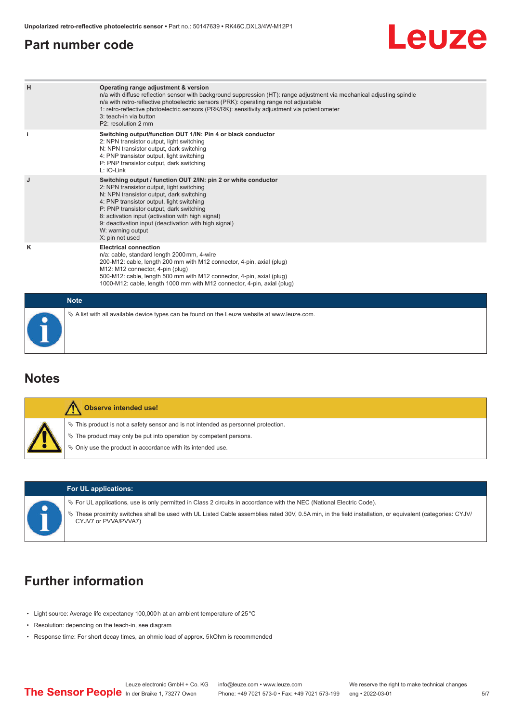#### <span id="page-4-0"></span>**Part number code**



| H           | Operating range adjustment & version<br>n/a with diffuse reflection sensor with background suppression (HT): range adjustment via mechanical adjusting spindle<br>n/a with retro-reflective photoelectric sensors (PRK): operating range not adjustable<br>1: retro-reflective photoelectric sensors (PRK/RK): sensitivity adjustment via potentiometer<br>3: teach-in via button<br>P2: resolution 2 mm |
|-------------|----------------------------------------------------------------------------------------------------------------------------------------------------------------------------------------------------------------------------------------------------------------------------------------------------------------------------------------------------------------------------------------------------------|
| j.          | Switching output/function OUT 1/IN: Pin 4 or black conductor<br>2: NPN transistor output, light switching<br>N: NPN transistor output, dark switching<br>4: PNP transistor output, light switching<br>P: PNP transistor output, dark switching<br>L: IO-Link                                                                                                                                             |
| J           | Switching output / function OUT 2/IN: pin 2 or white conductor<br>2: NPN transistor output, light switching<br>N: NPN transistor output, dark switching<br>4: PNP transistor output, light switching<br>P: PNP transistor output, dark switching<br>8: activation input (activation with high signal)<br>9: deactivation input (deactivation with high signal)<br>W: warning output<br>X: pin not used   |
| ĸ           | <b>Electrical connection</b><br>n/a: cable, standard length 2000 mm, 4-wire<br>200-M12: cable, length 200 mm with M12 connector, 4-pin, axial (plug)<br>M12: M12 connector, 4-pin (plug)<br>500-M12: cable, length 500 mm with M12 connector, 4-pin, axial (plug)<br>1000-M12: cable, length 1000 mm with M12 connector, 4-pin, axial (plug)                                                             |
| <b>Note</b> |                                                                                                                                                                                                                                                                                                                                                                                                          |
|             | $\&$ A list with all available device types can be found on the Leuze website at www.leuze.com.                                                                                                                                                                                                                                                                                                          |

#### **Notes**

| Observe intended use!                                                                                                                                       |
|-------------------------------------------------------------------------------------------------------------------------------------------------------------|
| $\%$ This product is not a safety sensor and is not intended as personnel protection.<br>₹ The product may only be put into operation by competent persons. |
| ♦ Only use the product in accordance with its intended use.                                                                                                 |

#### **For UL applications:**

ª For UL applications, use is only permitted in Class 2 circuits in accordance with the NEC (National Electric Code).

ª These proximity switches shall be used with UL Listed Cable assemblies rated 30V, 0.5A min, in the field installation, or equivalent (categories: CYJV/ CYJV7 or PVVA/PVVA7)

### **Further information**

- Light source: Average life expectancy 100,000 h at an ambient temperature of 25 °C
- Resolution: depending on the teach-in, see diagram
- Response time: For short decay times, an ohmic load of approx. 5 kOhm is recommended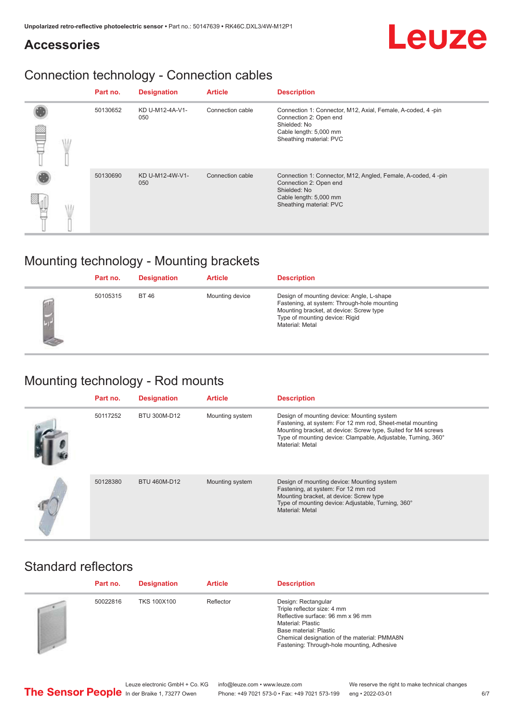### **Accessories**

### Connection technology - Connection cables

|  | Part no. | <b>Designation</b>     | <b>Article</b>   | <b>Description</b>                                                                                                                                          |
|--|----------|------------------------|------------------|-------------------------------------------------------------------------------------------------------------------------------------------------------------|
|  | 50130652 | KD U-M12-4A-V1-<br>050 | Connection cable | Connection 1: Connector, M12, Axial, Female, A-coded, 4-pin<br>Connection 2: Open end<br>Shielded: No<br>Cable length: 5,000 mm<br>Sheathing material: PVC  |
|  | 50130690 | KD U-M12-4W-V1-<br>050 | Connection cable | Connection 1: Connector, M12, Angled, Female, A-coded, 4-pin<br>Connection 2: Open end<br>Shielded: No<br>Cable length: 5,000 mm<br>Sheathing material: PVC |

### Mounting technology - Mounting brackets

| Part no. | <b>Designation</b> | <b>Article</b>  | <b>Description</b>                                                                                                                                                                       |
|----------|--------------------|-----------------|------------------------------------------------------------------------------------------------------------------------------------------------------------------------------------------|
| 50105315 | <b>BT 46</b>       | Mounting device | Design of mounting device: Angle, L-shape<br>Fastening, at system: Through-hole mounting<br>Mounting bracket, at device: Screw type<br>Type of mounting device: Rigid<br>Material: Metal |

### Mounting technology - Rod mounts

| Part no. | <b>Designation</b> | <b>Article</b>  | <b>Description</b>                                                                                                                                                                                                                                           |
|----------|--------------------|-----------------|--------------------------------------------------------------------------------------------------------------------------------------------------------------------------------------------------------------------------------------------------------------|
| 50117252 | BTU 300M-D12       | Mounting system | Design of mounting device: Mounting system<br>Fastening, at system: For 12 mm rod, Sheet-metal mounting<br>Mounting bracket, at device: Screw type, Suited for M4 screws<br>Type of mounting device: Clampable, Adjustable, Turning, 360°<br>Material: Metal |
| 50128380 | BTU 460M-D12       | Mounting system | Design of mounting device: Mounting system<br>Fastening, at system: For 12 mm rod<br>Mounting bracket, at device: Screw type<br>Type of mounting device: Adjustable, Turning, 360°<br>Material: Metal                                                        |

### Standard reflectors

| Part no. | <b>Designation</b> | <b>Article</b> | <b>Description</b>                                                                                                                                                                                                                   |
|----------|--------------------|----------------|--------------------------------------------------------------------------------------------------------------------------------------------------------------------------------------------------------------------------------------|
| 50022816 | <b>TKS 100X100</b> | Reflector      | Design: Rectangular<br>Triple reflector size: 4 mm<br>Reflective surface: 96 mm x 96 mm<br>Material: Plastic<br>Base material: Plastic<br>Chemical designation of the material: PMMA8N<br>Fastening: Through-hole mounting, Adhesive |

Leuze